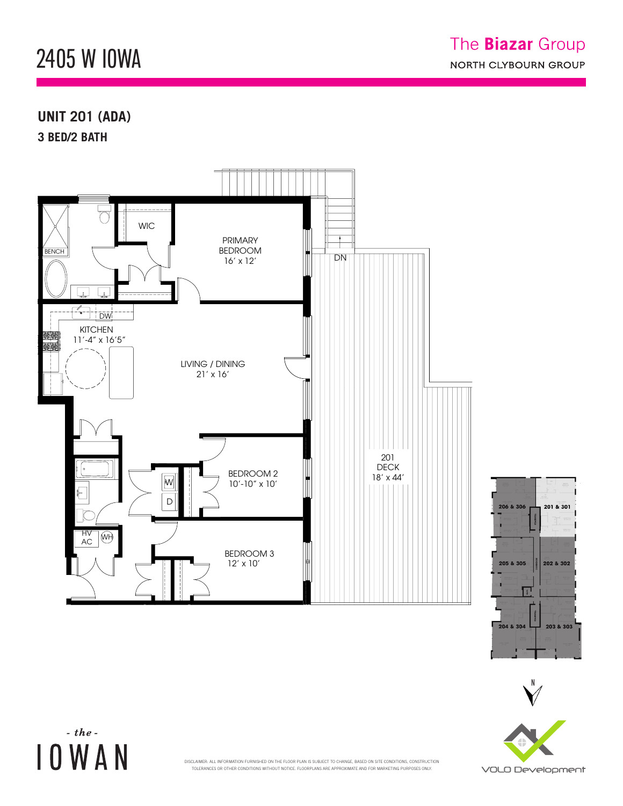## 2405 W IOWA  $242$  M. FUMVV 2405 W. IOWA ST.

## **UNIT 201 (ADA) 3 BED/2 BATH**

A NI

A N 9'-6" x 12'-6"

DW

 $-$  the -